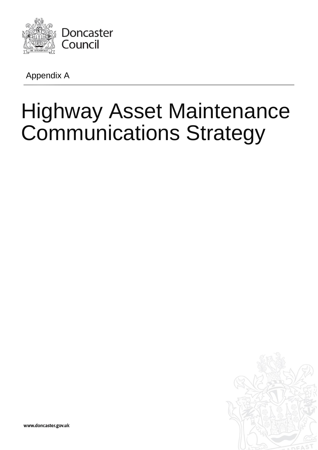

Appendix A

# Highway Asset Maintenance Communications Strategy



www.doncaster.gov.uk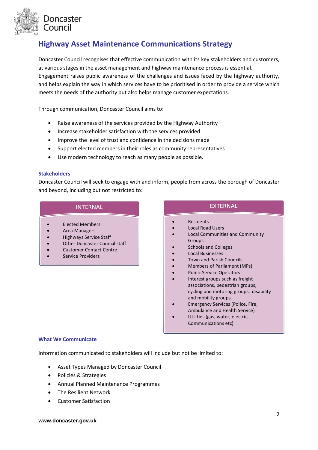

# **Highway Asset Maintenance Communications Strategy**

Doncaster Council recognises that effective communication with its key stakeholders and customers, at various stages in the asset management and highway maintenance process is essential. Engagement raises public awareness of the challenges and issues faced by the highway authority, and helps explain the way in which services have to be prioritised in order to provide a service which meets the needs of the authority but also helps manage customer expectations.

Through communication, Doncaster Council aims to:

- Raise awareness of the services provided by the Highway Authority
- Increase stakeholder satisfaction with the services provided
- Improve the level of trust and confidence in the decisions made
- Support elected members in their roles as community representatives
- Use modern technology to reach as many people as possible.

## **Stakeholders**

Doncaster Council will seek to engage with and inform, people from across the borough of Doncaster and beyond, including but not restricted to:

# **INTERNAL**

- Elected Members
- Area Managers
- Highways Service Staff
- Other Doncaster Council staff
- Customer Contact Centre
- Service Providers

**EXTERNAL** 

- Residents
- Local Road Users
- Local Communities and Community Groups
- Schools and Colleges
- Local Businesses
- Town and Parish Councils
- Members of Parliament (MPs)
- Public Service Operators
- Interest groups such as freight associations, pedestrian groups, cycling and motoring groups, disability and mobility groups.
- Emergency Services (Police, Fire, Ambulance and Health Service)
- Utilities (gas, water, electric, Communications etc)

#### **What We Communicate**

Information communicated to stakeholders will include but not be limited to:

- Asset Types Managed by Doncaster Council
- Policies & Strategies
- Annual Planned Maintenance Programmes
- The Resilient Network
- Customer Satisfaction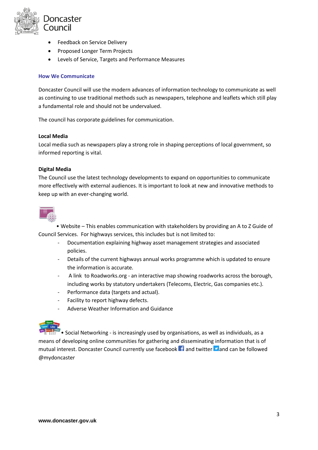

- **•** Feedback on Service Delivery
- Proposed Longer Term Projects
- Levels of Service, Targets and Performance Measures

## **How We Communicate**

Doncaster Council will use the modern advances of information technology to communicate as well as continuing to use traditional methods such as newspapers, telephone and leaflets which still play a fundamental role and should not be undervalued.

The council has corporate guidelines for communication.

#### **Local Media**

Local media such as newspapers play a strong role in shaping perceptions of local government, so informed reporting is vital.

## **Digital Media**

The Council use the latest technology developments to expand on opportunities to communicate more effectively with external audiences. It is important to look at new and innovative methods to keep up with an ever-changing world.



• Website – This enables communication with stakeholders by providing an A to Z Guide of Council Services. For highways services, this includes but is not limited to:

- Documentation explaining highway asset management strategies and associated policies.
- Details of the current highways annual works programme which is updated to ensure the information is accurate.
- A link to Roadworks.org an interactive map showing roadworks across the borough, including works by statutory undertakers (Telecoms, Electric, Gas companies etc.).
- Performance data (targets and actual).
- Facility to report highway defects.
- Adverse Weather Information and Guidance



• Social Networking - is increasingly used by organisations, as well as individuals, as a means of developing online communities for gathering and disseminating information that is of mutual interest. Doncaster Council currently use facebook  $\mathbf{f}$  and twitter  $\mathbf{v}$  and can be followed @mydoncaster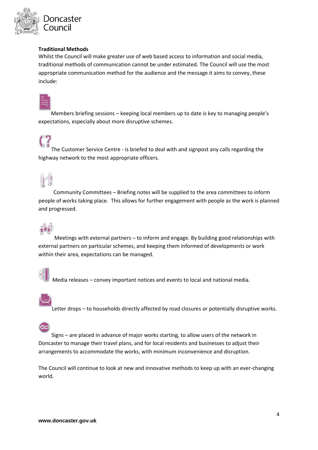

# **Traditional Methods**

Whilst the Council will make greater use of web based access to information and social media, traditional methods of communication cannot be under estimated. The Council will use the most appropriate communication method for the audience and the message it aims to convey, these include:



 $10\,G$ 

Members briefing sessions – keeping local members up to date is key to managing people's expectations, especially about more disruptive schemes.

# The Customer Service Centre - is briefed to deal with and signpost any calls regarding the highway network to the most appropriate officers.



Community Committees – Briefing notes will be supplied to the area committees to inform people of works taking place. This allows for further engagement with people as the work is planned and progressed.



Meetings with external partners – to inform and engage. By building good relationships with external partners on particular schemes, and keeping them informed of developments or work within their area, expectations can be managed.



Media releases – convey important notices and events to local and national media.



Letter drops – to households directly affected by road closures or potentially disruptive works.

Signs – are placed in advance of major works starting, to allow users of the network in Doncaster to manage their travel plans, and for local residents and businesses to adjust their arrangements to accommodate the works, with minimum inconvenience and disruption.

The Council will continue to look at new and innovative methods to keep up with an ever-changing world.